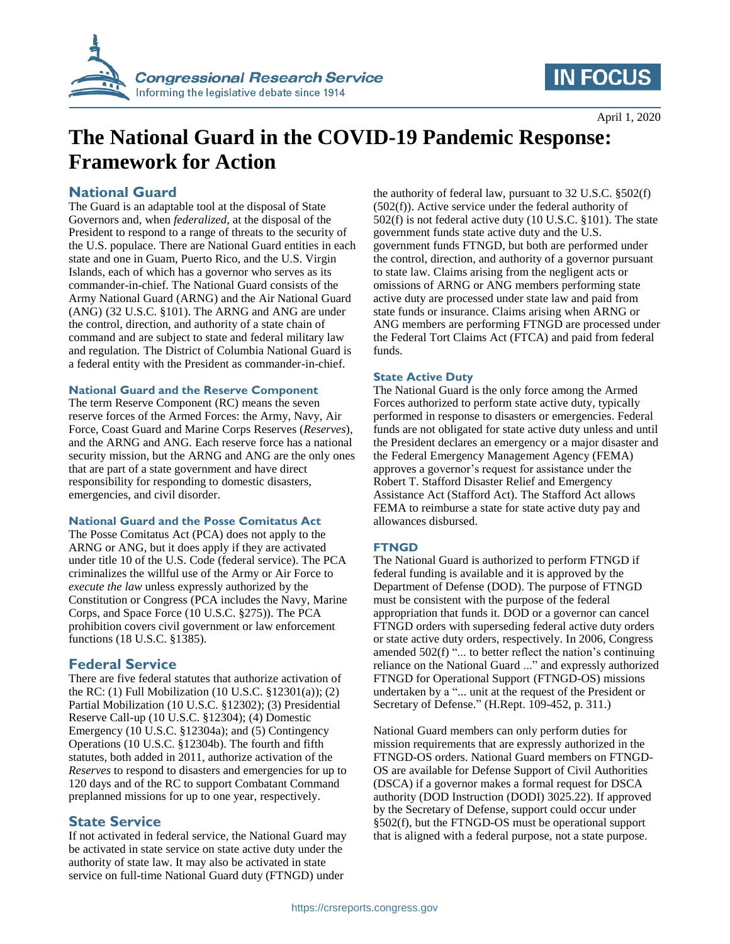

# **IN FOCUS**

April 1, 2020

# **The National Guard in the COVID-19 Pandemic Response: Framework for Action**

# **National Guard**

The Guard is an adaptable tool at the disposal of State Governors and, when *federalized*, at the disposal of the President to respond to a range of threats to the security of the U.S. populace. There are National Guard entities in each state and one in Guam, Puerto Rico, and the U.S. Virgin Islands, each of which has a governor who serves as its commander-in-chief. The National Guard consists of the Army National Guard (ARNG) and the Air National Guard (ANG) (32 U.S.C. §101). The ARNG and ANG are under the control, direction, and authority of a state chain of command and are subject to state and federal military law and regulation. The District of Columbia National Guard is a federal entity with the President as commander-in-chief.

#### **National Guard and the Reserve Component**

The term Reserve Component (RC) means the seven reserve forces of the Armed Forces: the Army, Navy, Air Force, Coast Guard and Marine Corps Reserves (*Reserves*), and the ARNG and ANG. Each reserve force has a national security mission, but the ARNG and ANG are the only ones that are part of a state government and have direct responsibility for responding to domestic disasters, emergencies, and civil disorder.

#### **National Guard and the Posse Comitatus Act**

The Posse Comitatus Act (PCA) does not apply to the ARNG or ANG, but it does apply if they are activated under title 10 of the U.S. Code (federal service). The PCA criminalizes the willful use of the Army or Air Force to *execute the law* unless expressly authorized by the Constitution or Congress (PCA includes the Navy, Marine Corps, and Space Force (10 U.S.C. §275)). The PCA prohibition covers civil government or law enforcement functions (18 U.S.C. §1385).

## **Federal Service**

There are five federal statutes that authorize activation of the RC: (1) Full Mobilization (10 U.S.C. §12301(a)); (2) Partial Mobilization (10 U.S.C. §12302); (3) Presidential Reserve Call-up (10 U.S.C. §12304); (4) Domestic Emergency (10 U.S.C. §12304a); and (5) Contingency Operations (10 U.S.C. §12304b). The fourth and fifth statutes, both added in 2011, authorize activation of the *Reserves* to respond to disasters and emergencies for up to 120 days and of the RC to support Combatant Command preplanned missions for up to one year, respectively.

## **State Service**

If not activated in federal service, the National Guard may be activated in state service on state active duty under the authority of state law. It may also be activated in state service on full-time National Guard duty (FTNGD) under

the authority of federal law, pursuant to 32 U.S.C. §502(f) (502(f)). Active service under the federal authority of 502(f) is not federal active duty (10 U.S.C. §101). The state government funds state active duty and the U.S. government funds FTNGD, but both are performed under the control, direction, and authority of a governor pursuant to state law. Claims arising from the negligent acts or omissions of ARNG or ANG members performing state active duty are processed under state law and paid from state funds or insurance. Claims arising when ARNG or ANG members are performing FTNGD are processed under the Federal Tort Claims Act (FTCA) and paid from federal funds.

#### **State Active Duty**

The National Guard is the only force among the Armed Forces authorized to perform state active duty, typically performed in response to disasters or emergencies. Federal funds are not obligated for state active duty unless and until the President declares an emergency or a major disaster and the Federal Emergency Management Agency (FEMA) approves a governor's request for assistance under the Robert T. Stafford Disaster Relief and Emergency Assistance Act (Stafford Act). The Stafford Act allows FEMA to reimburse a state for state active duty pay and allowances disbursed.

#### **FTNGD**

The National Guard is authorized to perform FTNGD if federal funding is available and it is approved by the Department of Defense (DOD). The purpose of FTNGD must be consistent with the purpose of the federal appropriation that funds it. DOD or a governor can cancel FTNGD orders with superseding federal active duty orders or state active duty orders, respectively. In 2006, Congress amended 502(f) "... to better reflect the nation's continuing reliance on the National Guard ..." and expressly authorized FTNGD for Operational Support (FTNGD-OS) missions undertaken by a "... unit at the request of the President or Secretary of Defense." (H.Rept. 109-452, p. 311.)

National Guard members can only perform duties for mission requirements that are expressly authorized in the FTNGD-OS orders. National Guard members on FTNGD-OS are available for Defense Support of Civil Authorities (DSCA) if a governor makes a formal request for DSCA authority (DOD Instruction (DODI) 3025.22). If approved by the Secretary of Defense, support could occur under §502(f), but the FTNGD-OS must be operational support that is aligned with a federal purpose, not a state purpose.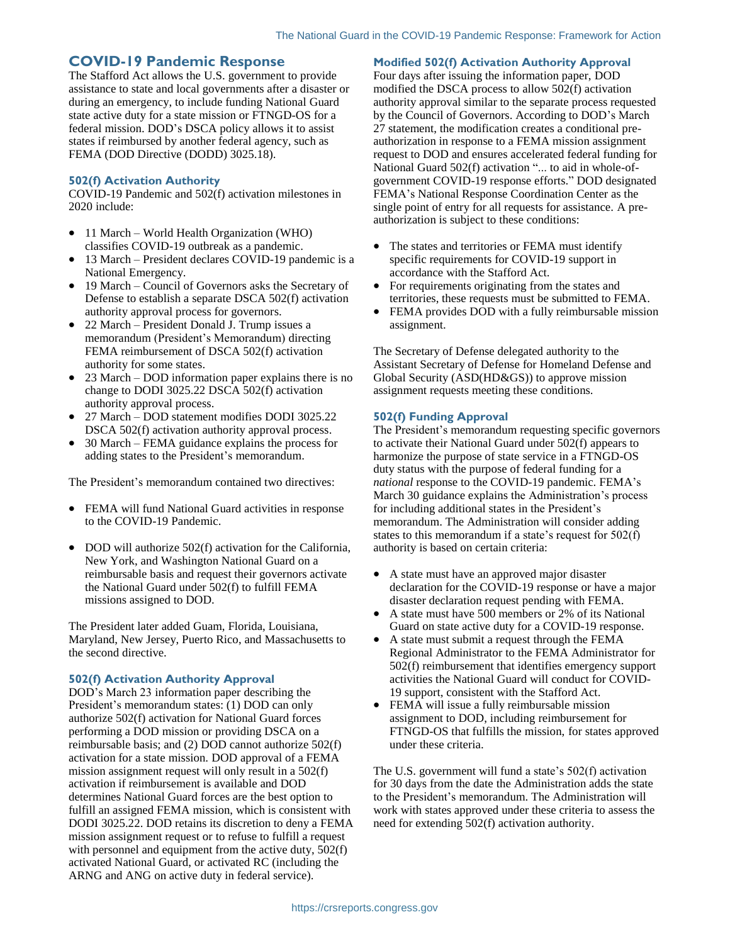### **COVID-19 Pandemic Response**

The Stafford Act allows the U.S. government to provide assistance to state and local governments after a disaster or during an emergency, to include funding National Guard state active duty for a state mission or FTNGD-OS for a federal mission. DOD's DSCA policy allows it to assist states if reimbursed by another federal agency, such as FEMA (DOD Directive (DODD) 3025.18).

#### **502(f) Activation Authority**

COVID-19 Pandemic and 502(f) activation milestones in 2020 include:

- 11 March World Health Organization (WHO) classifies COVID-19 outbreak as a pandemic.
- 13 March President declares COVID-19 pandemic is a National Emergency.
- 19 March Council of Governors asks the Secretary of Defense to establish a separate DSCA 502(f) activation authority approval process for governors.
- 22 March President Donald J. Trump issues a memorandum (President's Memorandum) directing FEMA reimbursement of DSCA 502(f) activation authority for some states.
- 23 March DOD information paper explains there is no change to DODI 3025.22 DSCA 502(f) activation authority approval process.
- 27 March DOD statement modifies DODI 3025.22 DSCA 502(f) activation authority approval process.
- 30 March FEMA guidance explains the process for adding states to the President's memorandum.

The President's memorandum contained two directives:

- FEMA will fund National Guard activities in response to the COVID-19 Pandemic.
- DOD will authorize 502(f) activation for the California. New York, and Washington National Guard on a reimbursable basis and request their governors activate the National Guard under 502(f) to fulfill FEMA missions assigned to DOD.

The President later added Guam, Florida, Louisiana, Maryland, New Jersey, Puerto Rico, and Massachusetts to the second directive.

#### **502(f) Activation Authority Approval**

DOD's March 23 information paper describing the President's memorandum states: (1) DOD can only authorize 502(f) activation for National Guard forces performing a DOD mission or providing DSCA on a reimbursable basis; and (2) DOD cannot authorize 502(f) activation for a state mission. DOD approval of a FEMA mission assignment request will only result in a 502(f) activation if reimbursement is available and DOD determines National Guard forces are the best option to fulfill an assigned FEMA mission, which is consistent with DODI 3025.22. DOD retains its discretion to deny a FEMA mission assignment request or to refuse to fulfill a request with personnel and equipment from the active duty,  $502(f)$ activated National Guard, or activated RC (including the ARNG and ANG on active duty in federal service).

**Modified 502(f) Activation Authority Approval**

Four days after issuing the information paper, DOD modified the DSCA process to allow 502(f) activation authority approval similar to the separate process requested by the Council of Governors. According to DOD's March 27 statement, the modification creates a conditional preauthorization in response to a FEMA mission assignment request to DOD and ensures accelerated federal funding for National Guard 502(f) activation "... to aid in whole-ofgovernment COVID-19 response efforts." DOD designated FEMA's National Response Coordination Center as the single point of entry for all requests for assistance. A preauthorization is subject to these conditions:

- The states and territories or FEMA must identify specific requirements for COVID-19 support in accordance with the Stafford Act.
- For requirements originating from the states and territories, these requests must be submitted to FEMA.
- FEMA provides DOD with a fully reimbursable mission assignment.

The Secretary of Defense delegated authority to the Assistant Secretary of Defense for Homeland Defense and Global Security (ASD(HD&GS)) to approve mission assignment requests meeting these conditions.

#### **502(f) Funding Approval**

The President's memorandum requesting specific governors to activate their National Guard under 502(f) appears to harmonize the purpose of state service in a FTNGD-OS duty status with the purpose of federal funding for a *national* response to the COVID-19 pandemic. FEMA's March 30 guidance explains the Administration's process for including additional states in the President's memorandum. The Administration will consider adding states to this memorandum if a state's request for 502(f) authority is based on certain criteria:

- A state must have an approved major disaster declaration for the COVID-19 response or have a major disaster declaration request pending with FEMA.
- A state must have 500 members or 2% of its National Guard on state active duty for a COVID-19 response.
- A state must submit a request through the FEMA Regional Administrator to the FEMA Administrator for 502(f) reimbursement that identifies emergency support activities the National Guard will conduct for COVID-19 support, consistent with the Stafford Act.
- FEMA will issue a fully reimbursable mission assignment to DOD, including reimbursement for FTNGD-OS that fulfills the mission, for states approved under these criteria.

The U.S. government will fund a state's 502(f) activation for 30 days from the date the Administration adds the state to the President's memorandum. The Administration will work with states approved under these criteria to assess the need for extending 502(f) activation authority.